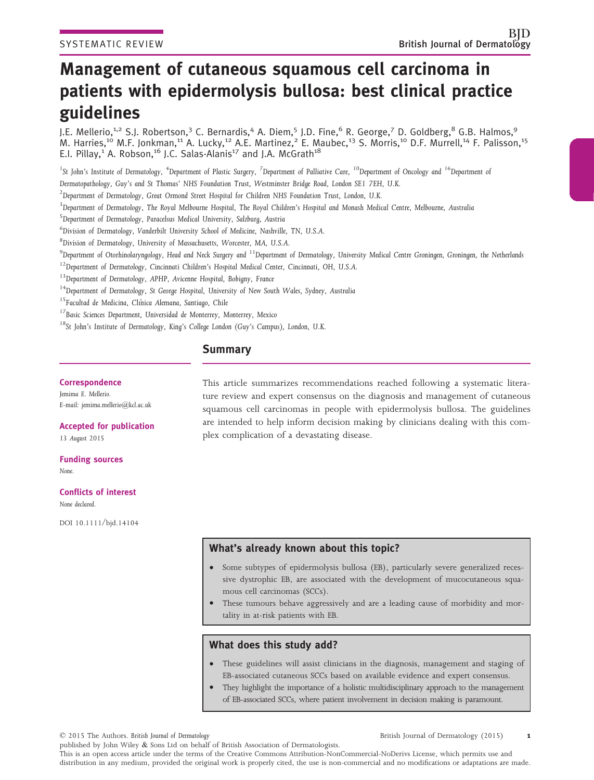# Management of cutaneous squamous cell carcinoma in patients with epidermolysis bullosa: best clinical practice guidelines

J.E. Mellerio,<sup>1,2</sup> S.J. Robertson,<sup>3</sup> C. Bernardis,<sup>4</sup> A. Diem,<sup>5</sup> J.D. Fine,<sup>6</sup> R. George,<sup>7</sup> D. Goldberg,<sup>8</sup> G.B. Halmos,<sup>9</sup> M. Harries,<sup>10</sup> M.F. Jonkman,<sup>11</sup> A. Lucky,<sup>12</sup> A.E. Martinez,<sup>2</sup> E. Maubec,<sup>13</sup> S. Morris,<sup>10</sup> D.F. Murrell,<sup>14</sup> F. Palisson,<sup>15</sup> E.I. Pillay,<sup>1</sup> A. Robson,<sup>16</sup> J.C. Salas-Alanis<sup>17</sup> and J.A. McGrath<sup>18</sup>

<sup>1</sup>St John's Institute of Dermatology, <sup>4</sup>Department of Plastic Surgery, <sup>7</sup>Department of Palliative Care, <sup>10</sup>Department of Oncology and <sup>16</sup>Department of Dermatopathology, Guy's and St Thomas' NHS Foundation Trust, Westminster Bridge Road, London SE1 7EH, U.K.

 $^{2}$ Department of Dermatology, Great Ormond Street Hospital for Children NHS Foundation Trust, London, U.K.

 $^3$ Department of Dermatology, The Royal Melbourne Hospital, The Royal Children's Hospital and Monash Medical Centre, Melbourne, Australia

5 Department of Dermatology, Paracelsus Medical University, Salzburg, Austria

6 Division of Dermatology, Vanderbilt University School of Medicine, Nashville, TN, U.S.A.

8 Division of Dermatology, University of Massachusetts, Worcester, MA, U.S.A.

 $^9$ Department of Otorhinolaryngology, Head and Neck Surgery and  $^{11}$ Department of Dermatology, University Medical Centre Groningen, Groningen, the Netherlands

 $12$  Department of Dermatology, Cincinnati Children's Hospital Medical Center, Cincinnati, OH, U.S.A.

<sup>13</sup>Department of Dermatology, APHP, Avicenne Hospital, Bobigny, France

<sup>14</sup>Department of Dermatology, St George Hospital, University of New South Wales, Sydney, Australia

<sup>15</sup>Facultad de Medicina, Clínica Alemana, Santiago, Chile

<sup>17</sup>Basic Sciences Department, Universidad de Monterrey, Monterrey, Mexico

<sup>18</sup>St John's Institute of Dermatology, King's College London (Guy's Campus), London, U.K.

# **Summary**

#### **Correspondence**

Jemima E. Mellerio. E-mail: jemima.mellerio@kcl.ac.uk

Accepted for publication 13 August 2015

Funding sources None.

## Conflicts of interest

None declared.

DOI 10.1111/bjd.14104

This article summarizes recommendations reached following a systematic literature review and expert consensus on the diagnosis and management of cutaneous squamous cell carcinomas in people with epidermolysis bullosa. The guidelines are intended to help inform decision making by clinicians dealing with this complex complication of a devastating disease.

# What's already known about this topic?

- Some subtypes of epidermolysis bullosa (EB), particularly severe generalized recessive dystrophic EB, are associated with the development of mucocutaneous squamous cell carcinomas (SCCs).
- These tumours behave aggressively and are a leading cause of morbidity and mortality in at-risk patients with EB.

# What does this study add?

- These guidelines will assist clinicians in the diagnosis, management and staging of EB-associated cutaneous SCCs based on available evidence and expert consensus.
- They highlight the importance of a holistic multidisciplinary approach to the management of EB-associated SCCs, where patient involvement in decision making is paramount.

© 2015 The Authors. British Journal of Dermatology

published by John Wiley & Sons Ltd on behalf of British Association of Dermatologists.

This is an open access article under the terms of the [Creative Commons Attribution-NonCommercial-NoDerivs](http://creativecommons.org/licenses/by-nc-nd/4.0/) License, which permits use and distribution in any medium, provided the original work is properly cited, the use is non-commercial and no modifications or adaptations are made.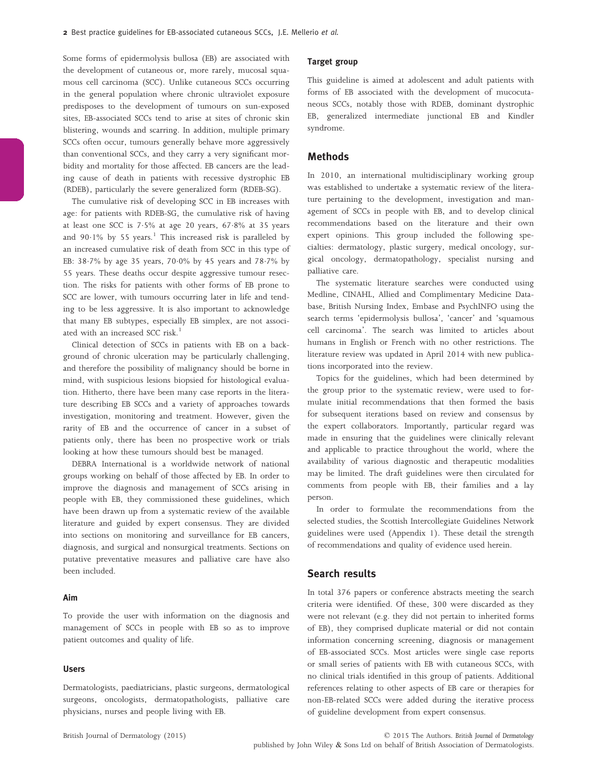Some forms of epidermolysis bullosa (EB) are associated with the development of cutaneous or, more rarely, mucosal squamous cell carcinoma (SCC). Unlike cutaneous SCCs occurring in the general population where chronic ultraviolet exposure predisposes to the development of tumours on sun-exposed sites, EB-associated SCCs tend to arise at sites of chronic skin blistering, wounds and scarring. In addition, multiple primary SCCs often occur, tumours generally behave more aggressively than conventional SCCs, and they carry a very significant morbidity and mortality for those affected. EB cancers are the leading cause of death in patients with recessive dystrophic EB (RDEB), particularly the severe generalized form (RDEB-SG).

The cumulative risk of developing SCC in EB increases with age: for patients with RDEB-SG, the cumulative risk of having at least one SCC is  $7.5\%$  at age 20 years,  $67.8\%$  at 35 years and  $90.1\%$  by 55 years.<sup>1</sup> This increased risk is paralleled by an increased cumulative risk of death from SCC in this type of EB:  $38.7\%$  by age 35 years,  $70.0\%$  by 45 years and  $78.7\%$  by 55 years. These deaths occur despite aggressive tumour resection. The risks for patients with other forms of EB prone to SCC are lower, with tumours occurring later in life and tending to be less aggressive. It is also important to acknowledge that many EB subtypes, especially EB simplex, are not associated with an increased SCC risk.<sup>1</sup>

Clinical detection of SCCs in patients with EB on a background of chronic ulceration may be particularly challenging, and therefore the possibility of malignancy should be borne in mind, with suspicious lesions biopsied for histological evaluation. Hitherto, there have been many case reports in the literature describing EB SCCs and a variety of approaches towards investigation, monitoring and treatment. However, given the rarity of EB and the occurrence of cancer in a subset of patients only, there has been no prospective work or trials looking at how these tumours should best be managed.

DEBRA International is a worldwide network of national groups working on behalf of those affected by EB. In order to improve the diagnosis and management of SCCs arising in people with EB, they commissioned these guidelines, which have been drawn up from a systematic review of the available literature and guided by expert consensus. They are divided into sections on monitoring and surveillance for EB cancers, diagnosis, and surgical and nonsurgical treatments. Sections on putative preventative measures and palliative care have also been included.

#### Aim

To provide the user with information on the diagnosis and management of SCCs in people with EB so as to improve patient outcomes and quality of life.

#### Users

Dermatologists, paediatricians, plastic surgeons, dermatological surgeons, oncologists, dermatopathologists, palliative care physicians, nurses and people living with EB.

## Target group

This guideline is aimed at adolescent and adult patients with forms of EB associated with the development of mucocutaneous SCCs, notably those with RDEB, dominant dystrophic EB, generalized intermediate junctional EB and Kindler syndrome.

## Methods

In 2010, an international multidisciplinary working group was established to undertake a systematic review of the literature pertaining to the development, investigation and management of SCCs in people with EB, and to develop clinical recommendations based on the literature and their own expert opinions. This group included the following specialties: dermatology, plastic surgery, medical oncology, surgical oncology, dermatopathology, specialist nursing and palliative care.

The systematic literature searches were conducted using Medline, CINAHL, Allied and Complimentary Medicine Database, British Nursing Index, Embase and PsychINFO using the search terms 'epidermolysis bullosa', 'cancer' and 'squamous cell carcinoma'. The search was limited to articles about humans in English or French with no other restrictions. The literature review was updated in April 2014 with new publications incorporated into the review.

Topics for the guidelines, which had been determined by the group prior to the systematic review, were used to formulate initial recommendations that then formed the basis for subsequent iterations based on review and consensus by the expert collaborators. Importantly, particular regard was made in ensuring that the guidelines were clinically relevant and applicable to practice throughout the world, where the availability of various diagnostic and therapeutic modalities may be limited. The draft guidelines were then circulated for comments from people with EB, their families and a lay person.

In order to formulate the recommendations from the selected studies, the Scottish Intercollegiate Guidelines Network guidelines were used (Appendix 1). These detail the strength of recommendations and quality of evidence used herein.

## Search results

In total 376 papers or conference abstracts meeting the search criteria were identified. Of these, 300 were discarded as they were not relevant (e.g. they did not pertain to inherited forms of EB), they comprised duplicate material or did not contain information concerning screening, diagnosis or management of EB-associated SCCs. Most articles were single case reports or small series of patients with EB with cutaneous SCCs, with no clinical trials identified in this group of patients. Additional references relating to other aspects of EB care or therapies for non-EB-related SCCs were added during the iterative process of guideline development from expert consensus.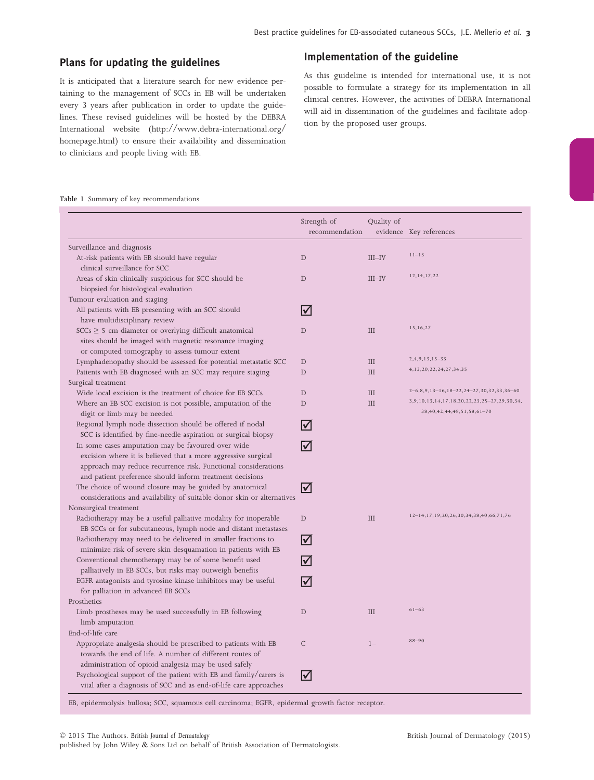## Plans for updating the guidelines

It is anticipated that a literature search for new evidence pertaining to the management of SCCs in EB will be undertaken every 3 years after publication in order to update the guidelines. These revised guidelines will be hosted by the DEBRA International website [\(http://www.debra-international.org/](http://www.debra-international.org/homepage.html) [homepage.html](http://www.debra-international.org/homepage.html)) to ensure their availability and dissemination to clinicians and people living with EB.

# Implementation of the guideline

As this guideline is intended for international use, it is not possible to formulate a strategy for its implementation in all clinical centres. However, the activities of DEBRA International will aid in dissemination of the guidelines and facilitate adoption by the proposed user groups.

## Table 1 Summary of key recommendations

|                                                                        | Strength of<br>recommendation | Quality of   | evidence Key references                                    |
|------------------------------------------------------------------------|-------------------------------|--------------|------------------------------------------------------------|
| Surveillance and diagnosis                                             |                               |              |                                                            |
| At-risk patients with EB should have regular                           | D                             | $III$ - $IV$ | $11 - 13$                                                  |
| clinical surveillance for SCC                                          |                               |              |                                                            |
| Areas of skin clinically suspicious for SCC should be                  | D                             | $III$ -IV    | 12, 14, 17, 22                                             |
| biopsied for histological evaluation                                   |                               |              |                                                            |
| Tumour evaluation and staging                                          |                               |              |                                                            |
| All patients with EB presenting with an SCC should                     | l√                            |              |                                                            |
| have multidisciplinary review                                          |                               |              |                                                            |
| $SCCs \geq 5$ cm diameter or overlying difficult anatomical            | D                             | III          | 15, 16, 27                                                 |
| sites should be imaged with magnetic resonance imaging                 |                               |              |                                                            |
| or computed tomography to assess tumour extent                         |                               |              |                                                            |
| Lymphadenopathy should be assessed for potential metastatic SCC        | D                             | Ш            | $2,4,9,13,15-33$                                           |
| Patients with EB diagnosed with an SCC may require staging             | D                             | III          | 4, 13, 20, 22, 24, 27, 34, 35                              |
| Surgical treatment                                                     |                               |              |                                                            |
| Wide local excision is the treatment of choice for EB SCCs             | D                             | Ш            | 2-6, 8, 9, 13-16, 18-22, 24-27, 30, 32, 33, 36-60          |
| Where an EB SCC excision is not possible, amputation of the            | D                             | Ш            | 3, 9, 10, 13, 14, 17, 18, 20, 22, 23, 25 - 27, 29, 30, 34, |
| digit or limb may be needed                                            |                               |              | 38, 40, 42, 44, 49, 51, 58, 61-70                          |
| Regional lymph node dissection should be offered if nodal              | I√                            |              |                                                            |
| SCC is identified by fine-needle aspiration or surgical biopsy         |                               |              |                                                            |
| In some cases amputation may be favoured over wide                     | $\blacktriangledown$          |              |                                                            |
| excision where it is believed that a more aggressive surgical          |                               |              |                                                            |
| approach may reduce recurrence risk. Functional considerations         |                               |              |                                                            |
| and patient preference should inform treatment decisions               |                               |              |                                                            |
| The choice of wound closure may be guided by anatomical                | $\blacktriangledown$          |              |                                                            |
| considerations and availability of suitable donor skin or alternatives |                               |              |                                                            |
| Nonsurgical treatment                                                  |                               |              |                                                            |
| Radiotherapy may be a useful palliative modality for inoperable        | D                             | <b>III</b>   | 12-14, 17, 19, 20, 26, 30, 34, 38, 40, 66, 71, 76          |
| EB SCCs or for subcutaneous, lymph node and distant metastases         |                               |              |                                                            |
| Radiotherapy may need to be delivered in smaller fractions to          | IV∣                           |              |                                                            |
| minimize risk of severe skin desquamation in patients with EB          |                               |              |                                                            |
| Conventional chemotherapy may be of some benefit used                  | ∨                             |              |                                                            |
| palliatively in EB SCCs, but risks may outweigh benefits               |                               |              |                                                            |
| EGFR antagonists and tyrosine kinase inhibitors may be useful          | $\blacktriangledown$          |              |                                                            |
| for palliation in advanced EB SCCs                                     |                               |              |                                                            |
| Prosthetics                                                            |                               |              | $61 - 63$                                                  |
| Limb prostheses may be used successfully in EB following               | D                             | III          |                                                            |
| limb amputation                                                        |                               |              |                                                            |
| End-of-life care                                                       |                               |              | $88 - 90$                                                  |
| Appropriate analgesia should be prescribed to patients with EB         | C                             | $1 -$        |                                                            |
| towards the end of life. A number of different routes of               |                               |              |                                                            |
| administration of opioid analgesia may be used safely                  |                               |              |                                                            |
| Psychological support of the patient with EB and family/carers is      | M                             |              |                                                            |
| vital after a diagnosis of SCC and as end-of-life care approaches      |                               |              |                                                            |

EB, epidermolysis bullosa; SCC, squamous cell carcinoma; EGFR, epidermal growth factor receptor.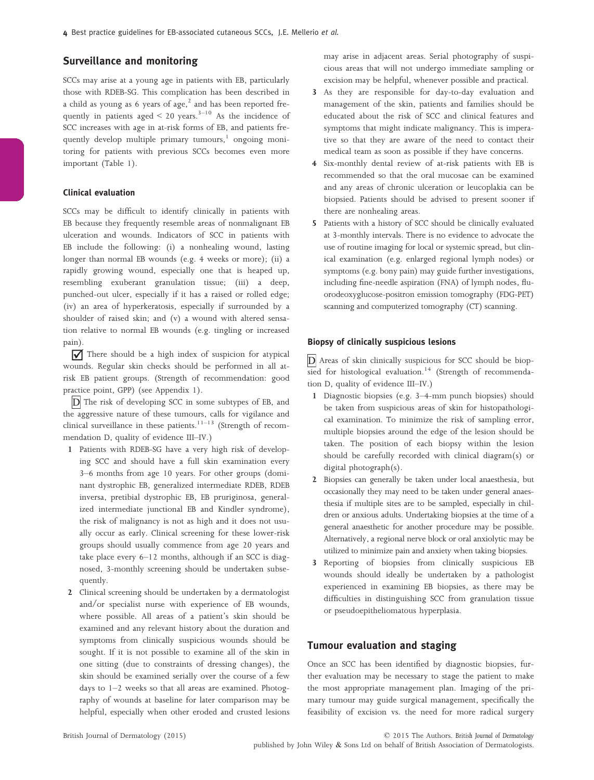## Surveillance and monitoring

SCCs may arise at a young age in patients with EB, particularly those with RDEB-SG. This complication has been described in a child as young as 6 years of  $age<sub>1</sub><sup>2</sup>$  and has been reported frequently in patients aged  $\leq 20$  years.<sup>3–10</sup> As the incidence of SCC increases with age in at-risk forms of EB, and patients frequently develop multiple primary tumours, $<sup>1</sup>$  ongoing moni-</sup> toring for patients with previous SCCs becomes even more important (Table 1).

## Clinical evaluation

SCCs may be difficult to identify clinically in patients with EB because they frequently resemble areas of nonmalignant EB ulceration and wounds. Indicators of SCC in patients with EB include the following: (i) a nonhealing wound, lasting longer than normal EB wounds (e.g. 4 weeks or more); (ii) a rapidly growing wound, especially one that is heaped up, resembling exuberant granulation tissue; (iii) a deep, punched-out ulcer, especially if it has a raised or rolled edge; (iv) an area of hyperkeratosis, especially if surrounded by a shoulder of raised skin; and (v) a wound with altered sensation relative to normal EB wounds (e.g. tingling or increased pain).

 $\sqrt{\phantom{a}}$  There should be a high index of suspicion for atypical wounds. Regular skin checks should be performed in all atrisk EB patient groups. (Strength of recommendation: good practice point, GPP) (see Appendix 1).

D The risk of developing SCC in some subtypes of EB, and the aggressive nature of these tumours, calls for vigilance and clinical surveillance in these patients.<sup>11–13</sup> (Strength of recommendation D, quality of evidence III–IV.)

- 1 Patients with RDEB-SG have a very high risk of developing SCC and should have a full skin examination every 3–6 months from age 10 years. For other groups (dominant dystrophic EB, generalized intermediate RDEB, RDEB inversa, pretibial dystrophic EB, EB pruriginosa, generalized intermediate junctional EB and Kindler syndrome), the risk of malignancy is not as high and it does not usually occur as early. Clinical screening for these lower-risk groups should usually commence from age 20 years and take place every 6–12 months, although if an SCC is diagnosed, 3-monthly screening should be undertaken subsequently.
- 2 Clinical screening should be undertaken by a dermatologist and/or specialist nurse with experience of EB wounds, where possible. All areas of a patient's skin should be examined and any relevant history about the duration and symptoms from clinically suspicious wounds should be sought. If it is not possible to examine all of the skin in one sitting (due to constraints of dressing changes), the skin should be examined serially over the course of a few days to 1–2 weeks so that all areas are examined. Photography of wounds at baseline for later comparison may be helpful, especially when other eroded and crusted lesions

may arise in adjacent areas. Serial photography of suspicious areas that will not undergo immediate sampling or excision may be helpful, whenever possible and practical.

- 3 As they are responsible for day-to-day evaluation and management of the skin, patients and families should be educated about the risk of SCC and clinical features and symptoms that might indicate malignancy. This is imperative so that they are aware of the need to contact their medical team as soon as possible if they have concerns.
- 4 Six-monthly dental review of at-risk patients with EB is recommended so that the oral mucosae can be examined and any areas of chronic ulceration or leucoplakia can be biopsied. Patients should be advised to present sooner if there are nonhealing areas.
- Patients with a history of SCC should be clinically evaluated at 3-monthly intervals. There is no evidence to advocate the use of routine imaging for local or systemic spread, but clinical examination (e.g. enlarged regional lymph nodes) or symptoms (e.g. bony pain) may guide further investigations, including fine-needle aspiration (FNA) of lymph nodes, fluorodeoxyglucose-positron emission tomography (FDG-PET) scanning and computerized tomography (CT) scanning.

#### Biopsy of clinically suspicious lesions

D Areas of skin clinically suspicious for SCC should be biopsied for histological evaluation.<sup>14</sup> (Strength of recommendation D, quality of evidence III–IV.)

- 1 Diagnostic biopsies (e.g. 3–4-mm punch biopsies) should be taken from suspicious areas of skin for histopathological examination. To minimize the risk of sampling error, multiple biopsies around the edge of the lesion should be taken. The position of each biopsy within the lesion should be carefully recorded with clinical diagram(s) or digital photograph(s).
- 2 Biopsies can generally be taken under local anaesthesia, but occasionally they may need to be taken under general anaesthesia if multiple sites are to be sampled, especially in children or anxious adults. Undertaking biopsies at the time of a general anaesthetic for another procedure may be possible. Alternatively, a regional nerve block or oral anxiolytic may be utilized to minimize pain and anxiety when taking biopsies.
- 3 Reporting of biopsies from clinically suspicious EB wounds should ideally be undertaken by a pathologist experienced in examining EB biopsies, as there may be difficulties in distinguishing SCC from granulation tissue or pseudoepitheliomatous hyperplasia.

## Tumour evaluation and staging

Once an SCC has been identified by diagnostic biopsies, further evaluation may be necessary to stage the patient to make the most appropriate management plan. Imaging of the primary tumour may guide surgical management, specifically the feasibility of excision vs. the need for more radical surgery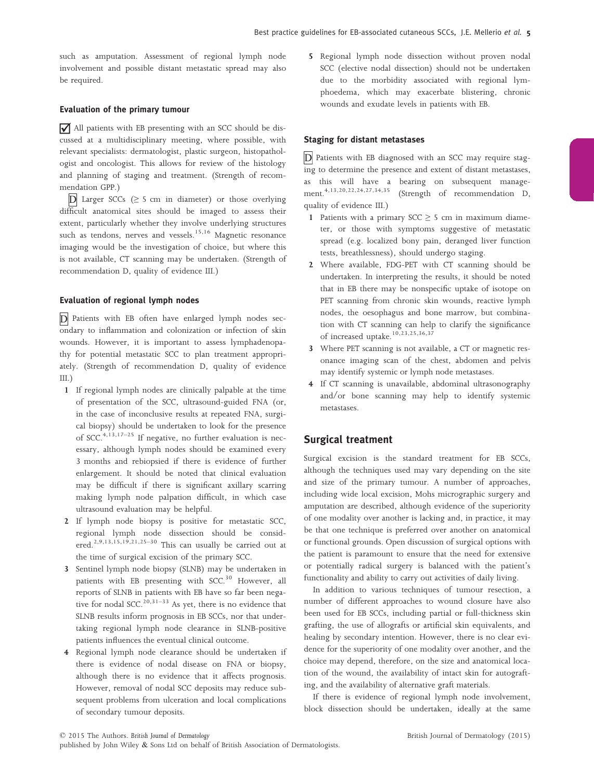such as amputation. Assessment of regional lymph node involvement and possible distant metastatic spread may also be required.

## Evaluation of the primary tumour

 $\mathbf{\nabla}$  All patients with EB presenting with an SCC should be discussed at a multidisciplinary meeting, where possible, with relevant specialists: dermatologist, plastic surgeon, histopathologist and oncologist. This allows for review of the histology and planning of staging and treatment. (Strength of recommendation GPP.)

D Larger SCCs ( $\geq$  5 cm in diameter) or those overlying difficult anatomical sites should be imaged to assess their extent, particularly whether they involve underlying structures such as tendons, nerves and vessels.<sup>15,16</sup> Magnetic resonance imaging would be the investigation of choice, but where this is not available, CT scanning may be undertaken. (Strength of recommendation D, quality of evidence III.)

## Evaluation of regional lymph nodes

D Patients with EB often have enlarged lymph nodes secondary to inflammation and colonization or infection of skin wounds. However, it is important to assess lymphadenopathy for potential metastatic SCC to plan treatment appropriately. (Strength of recommendation D, quality of evidence III.)

- 1 If regional lymph nodes are clinically palpable at the time of presentation of the SCC, ultrasound-guided FNA (or, in the case of inconclusive results at repeated FNA, surgical biopsy) should be undertaken to look for the presence of SCC.<sup>4,13,17–25</sup> If negative, no further evaluation is necessary, although lymph nodes should be examined every 3 months and rebiopsied if there is evidence of further enlargement. It should be noted that clinical evaluation may be difficult if there is significant axillary scarring making lymph node palpation difficult, in which case ultrasound evaluation may be helpful.
- 2 If lymph node biopsy is positive for metastatic SCC, regional lymph node dissection should be considered.<sup>2,9,13,15,19,21,25-30</sup> This can usually be carried out at the time of surgical excision of the primary SCC.
- 3 Sentinel lymph node biopsy (SLNB) may be undertaken in patients with EB presenting with SCC.<sup>30</sup> However, all reports of SLNB in patients with EB have so far been negative for nodal SCC.<sup>20,31–33</sup> As yet, there is no evidence that SLNB results inform prognosis in EB SCCs, nor that undertaking regional lymph node clearance in SLNB-positive patients influences the eventual clinical outcome.
- 4 Regional lymph node clearance should be undertaken if there is evidence of nodal disease on FNA or biopsy, although there is no evidence that it affects prognosis. However, removal of nodal SCC deposits may reduce subsequent problems from ulceration and local complications of secondary tumour deposits.

5 Regional lymph node dissection without proven nodal SCC (elective nodal dissection) should not be undertaken due to the morbidity associated with regional lymphoedema, which may exacerbate blistering, chronic wounds and exudate levels in patients with EB.

#### Staging for distant metastases

D Patients with EB diagnosed with an SCC may require staging to determine the presence and extent of distant metastases, as this will have a bearing on subsequent manage-<br>ment.<sup>4,13,20,22,24,27,34,35</sup> (Strength of recommendation D (Strength of recommendation D, quality of evidence III.)

- 1 Patients with a primary  $SCC \geq 5$  cm in maximum diameter, or those with symptoms suggestive of metastatic spread (e.g. localized bony pain, deranged liver function tests, breathlessness), should undergo staging.
- 2 Where available, FDG-PET with CT scanning should be undertaken. In interpreting the results, it should be noted that in EB there may be nonspecific uptake of isotope on PET scanning from chronic skin wounds, reactive lymph nodes, the oesophagus and bone marrow, but combination with CT scanning can help to clarify the significance of increased uptake.<sup>10,23,25,36,37</sup>
- 3 Where PET scanning is not available, a CT or magnetic resonance imaging scan of the chest, abdomen and pelvis may identify systemic or lymph node metastases.
- 4 If CT scanning is unavailable, abdominal ultrasonography and/or bone scanning may help to identify systemic metastases.

# Surgical treatment

Surgical excision is the standard treatment for EB SCCs, although the techniques used may vary depending on the site and size of the primary tumour. A number of approaches, including wide local excision, Mohs micrographic surgery and amputation are described, although evidence of the superiority of one modality over another is lacking and, in practice, it may be that one technique is preferred over another on anatomical or functional grounds. Open discussion of surgical options with the patient is paramount to ensure that the need for extensive or potentially radical surgery is balanced with the patient's functionality and ability to carry out activities of daily living.

In addition to various techniques of tumour resection, a number of different approaches to wound closure have also been used for EB SCCs, including partial or full-thickness skin grafting, the use of allografts or artificial skin equivalents, and healing by secondary intention. However, there is no clear evidence for the superiority of one modality over another, and the choice may depend, therefore, on the size and anatomical location of the wound, the availability of intact skin for autografting, and the availability of alternative graft materials.

If there is evidence of regional lymph node involvement, block dissection should be undertaken, ideally at the same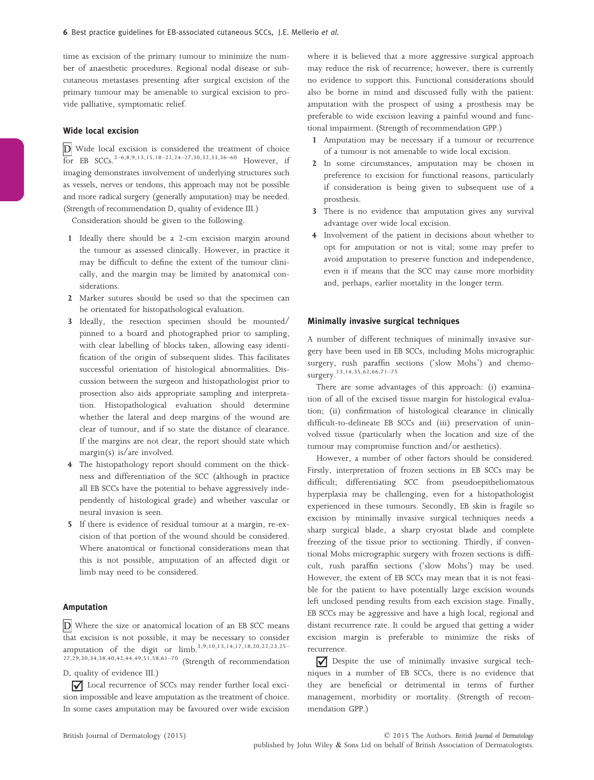time as excision of the primary tumour to minimize the number of anaesthetic procedures. Regional nodal disease or subcutaneous metastases presenting after surgical excision of the primary tumour may be amenable to surgical excision to provide palliative, symptomatic relief.

## Wide local excision

D Wide local excision is considered the treatment of choice for EB SCCs.2–6,8,9,13,15,18–22,24–27,30,32,33,36–<sup>60</sup> However, if imaging demonstrates involvement of underlying structures such as vessels, nerves or tendons, this approach may not be possible and more radical surgery (generally amputation) may be needed. (Strength of recommendation D, quality of evidence III.)

Consideration should be given to the following.

- 1 Ideally there should be a 2-cm excision margin around the tumour as assessed clinically. However, in practice it may be difficult to define the extent of the tumour clinically, and the margin may be limited by anatomical considerations.
- 2 Marker sutures should be used so that the specimen can be orientated for histopathological evaluation.
- 3 Ideally, the resection specimen should be mounted/ pinned to a board and photographed prior to sampling, with clear labelling of blocks taken, allowing easy identification of the origin of subsequent slides. This facilitates successful orientation of histological abnormalities. Discussion between the surgeon and histopathologist prior to prosection also aids appropriate sampling and interpretation. Histopathological evaluation should determine whether the lateral and deep margins of the wound are clear of tumour, and if so state the distance of clearance. If the margins are not clear, the report should state which margin(s) is/are involved.
- 4 The histopathology report should comment on the thickness and differentiation of the SCC (although in practice all EB SCCs have the potential to behave aggressively independently of histological grade) and whether vascular or neural invasion is seen.
- 5 If there is evidence of residual tumour at a margin, re-excision of that portion of the wound should be considered. Where anatomical or functional considerations mean that this is not possible, amputation of an affected digit or limb may need to be considered.

#### Amputation

D Where the size or anatomical location of an EB SCC means that excision is not possible, it may be necessary to consider amputation of the digit or  $limb^{3,9,10,13,14,17,18,20,22,23,25-}$ 27,29,30,34,38,40,42,44,49,51,58,61–<sup>70</sup> (Strength of recommendation

D, quality of evidence III.)

Local recurrence of SCCs may render further local excision impossible and leave amputation as the treatment of choice. In some cases amputation may be favoured over wide excision where it is believed that a more aggressive surgical approach may reduce the risk of recurrence; however, there is currently no evidence to support this. Functional considerations should also be borne in mind and discussed fully with the patient: amputation with the prospect of using a prosthesis may be preferable to wide excision leaving a painful wound and functional impairment. (Strength of recommendation GPP.)

- 1 Amputation may be necessary if a tumour or recurrence of a tumour is not amenable to wide local excision.
- 2 In some circumstances, amputation may be chosen in preference to excision for functional reasons, particularly if consideration is being given to subsequent use of a prosthesis.
- 3 There is no evidence that amputation gives any survival advantage over wide local excision.
- 4 Involvement of the patient in decisions about whether to opt for amputation or not is vital; some may prefer to avoid amputation to preserve function and independence, even it if means that the SCC may cause more morbidity and, perhaps, earlier mortality in the longer term.

#### Minimally invasive surgical techniques

A number of different techniques of minimally invasive surgery have been used in EB SCCs, including Mohs micrographic surgery, rush paraffin sections ('slow Mohs') and chemosurgery.<sup>13,14,35,62,66,71–75</sup>

There are some advantages of this approach: (i) examination of all of the excised tissue margin for histological evaluation; (ii) confirmation of histological clearance in clinically difficult-to-delineate EB SCCs and (iii) preservation of uninvolved tissue (particularly when the location and size of the tumour may compromise function and/or aesthetics).

However, a number of other factors should be considered. Firstly, interpretation of frozen sections in EB SCCs may be difficult; differentiating SCC from pseudoepitheliomatous hyperplasia may be challenging, even for a histopathologist experienced in these tumours. Secondly, EB skin is fragile so excision by minimally invasive surgical techniques needs a sharp surgical blade, a sharp cryostat blade and complete freezing of the tissue prior to sectioning. Thirdly, if conventional Mohs micrographic surgery with frozen sections is difficult, rush paraffin sections ('slow Mohs') may be used. However, the extent of EB SCCs may mean that it is not feasible for the patient to have potentially large excision wounds left unclosed pending results from each excision stage. Finally, EB SCCs may be aggressive and have a high local, regional and distant recurrence rate. It could be argued that getting a wider excision margin is preferable to minimize the risks of recurrence.

 $\sqrt{\phantom{a}}$  Despite the use of minimally invasive surgical techniques in a number of EB SCCs, there is no evidence that they are beneficial or detrimental in terms of further management, morbidity or mortality. (Strength of recommendation GPP.)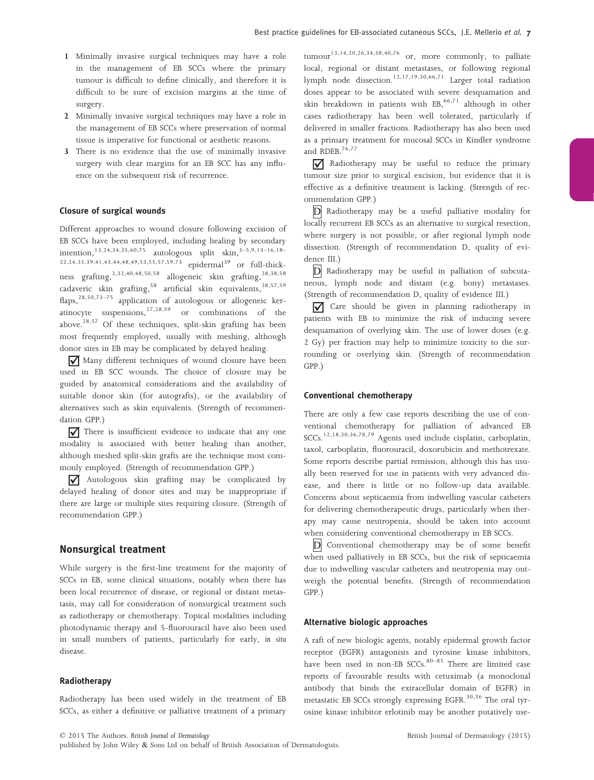- 1 Minimally invasive surgical techniques may have a role in the management of EB SCCs where the primary tumour is difficult to define clinically, and therefore it is difficult to be sure of excision margins at the time of surgery.
- 2 Minimally invasive surgical techniques may have a role in the management of EB SCCs where preservation of normal tissue is imperative for functional or aesthetic reasons.
- 3 There is no evidence that the use of minimally invasive surgery with clear margins for an EB SCC has any influence on the subsequent risk of recurrence.

## Closure of surgical wounds

Different approaches to wound closure following excision of EB SCCs have been employed, including healing by secondary intention,<sup>13,24,34,35,60,75</sup> autologous split skin,<sup>3–5,9,13–16,18–</sup> 22,24,33,39,41,43,44,48,49,53,55,57,59,73 epidermal<sup>39</sup> or full-thickness grafting,<sup>2,32,40,48,50,58</sup> allogeneic skin grafting,<sup>28,38,58</sup> cadaveric skin grafting,<sup>58</sup> artificial skin equivalents,<sup>28,57,59</sup> flaps,<sup>28,50,73–75</sup> application of autologous or allogeneic keratinocyte suspensions, $27,28,59$  or combinations of the above.<sup>28,57</sup> Of these techniques, split-skin grafting has been most frequently employed, usually with meshing, although donor sites in EB may be complicated by delayed healing.

 $\sqrt{\phantom{a}}$  Many different techniques of wound closure have been used in EB SCC wounds. The choice of closure may be guided by anatomical considerations and the availability of suitable donor skin (for autografts), or the availability of alternatives such as skin equivalents. (Strength of recommendation GPP.)

 $\nabla$  There is insufficient evidence to indicate that any one modality is associated with better healing than another, although meshed split-skin grafts are the technique most commonly employed. (Strength of recommendation GPP.)

Autologous skin grafting may be complicated by delayed healing of donor sites and may be inappropriate if there are large or multiple sites requiring closure. (Strength of recommendation GPP.)

# Nonsurgical treatment

While surgery is the first-line treatment for the majority of SCCs in EB, some clinical situations, notably when there has been local recurrence of disease, or regional or distant metastasis, may call for consideration of nonsurgical treatment such as radiotherapy or chemotherapy. Topical modalities including photodynamic therapy and 5-fluorouracil have also been used in small numbers of patients, particularly for early, in situ disease.

#### Radiotherapy

Radiotherapy has been used widely in the treatment of EB SCCs, as either a definitive or palliative treatment of a primary tumour<sup>13,14,20,26,34,38,40,76</sup> or, more commonly, to palliate local, regional or distant metastases, or following regional lymph node dissection.<sup>12,17,19,30,66,71</sup> Larger total radiation doses appear to be associated with severe desquamation and skin breakdown in patients with  $EB$ ,  $66,71$  although in other cases radiotherapy has been well tolerated, particularly if delivered in smaller fractions. Radiotherapy has also been used as a primary treatment for mucosal SCCs in Kindler syndrome and RDEB.<sup>76,77</sup>

Radiotherapy may be useful to reduce the primary tumour size prior to surgical excision, but evidence that it is effective as a definitive treatment is lacking. (Strength of recommendation GPP.)

D Radiotherapy may be a useful palliative modality for locally recurrent EB SCCs as an alternative to surgical resection, where surgery is not possible, or after regional lymph node dissection. (Strength of recommendation D, quality of evidence III.)

D Radiotherapy may be useful in palliation of subcutaneous, lymph node and distant (e.g. bony) metastases. (Strength of recommendation D, quality of evidence III.)

 $\sqrt{\phantom{a}}$  Care should be given in planning radiotherapy in patients with EB to minimize the risk of inducing severe desquamation of overlying skin. The use of lower doses (e.g. 2 Gy) per fraction may help to minimize toxicity to the surrounding or overlying skin. (Strength of recommendation GPP.)

## Conventional chemotherapy

There are only a few case reports describing the use of conventional chemotherapy for palliation of advanced EB SCCs.12,18,30,36,78,79 Agents used include cisplatin, carboplatin, taxol, carboplatin, fluorouracil, doxorubicin and methotrexate. Some reports describe partial remission, although this has usually been reserved for use in patients with very advanced disease, and there is little or no follow-up data available. Concerns about septicaemia from indwelling vascular catheters for delivering chemotherapeutic drugs, particularly when therapy may cause neutropenia, should be taken into account when considering conventional chemotherapy in EB SCCs.

D Conventional chemotherapy may be of some benefit when used palliatively in EB SCCs, but the risk of septicaemia due to indwelling vascular catheters and neutropenia may outweigh the potential benefits. (Strength of recommendation GPP.)

#### Alternative biologic approaches

A raft of new biologic agents, notably epidermal growth factor receptor (EGFR) antagonists and tyrosine kinase inhibitors, have been used in non-EB SCCs.<sup>80–85</sup> There are limited case reports of favourable results with cetuximab (a monoclonal antibody that binds the extracellular domain of EGFR) in metastatic EB SCCs strongly expressing EGFR.30,36 The oral tyrosine kinase inhibitor erlotinib may be another putatively use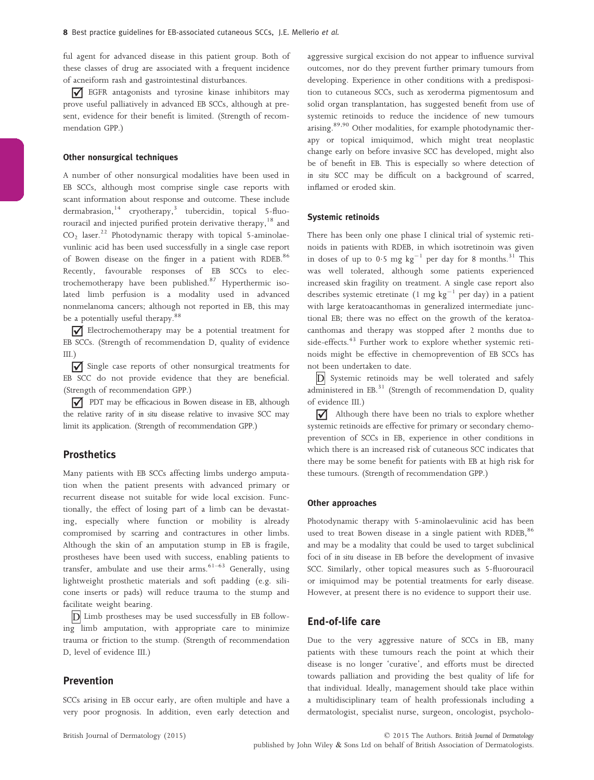ful agent for advanced disease in this patient group. Both of these classes of drug are associated with a frequent incidence of acneiform rash and gastrointestinal disturbances.

 $\sqrt{\phantom{a}}$  EGFR antagonists and tyrosine kinase inhibitors may prove useful palliatively in advanced EB SCCs, although at present, evidence for their benefit is limited. (Strength of recommendation GPP.)

#### Other nonsurgical techniques

A number of other nonsurgical modalities have been used in EB SCCs, although most comprise single case reports with scant information about response and outcome. These include dermabrasion,  $14$  cryotherapy, tubercidin, topical 5-fluorouracil and injected purified protein derivative therapy,<sup>18</sup> and  $CO<sub>2</sub>$  laser.<sup>22</sup> Photodynamic therapy with topical 5-aminolaevunlinic acid has been used successfully in a single case report of Bowen disease on the finger in a patient with RDEB.<sup>86</sup> Recently, favourable responses of EB SCCs to electrochemotherapy have been published.<sup>87</sup> Hyperthermic isolated limb perfusion is a modality used in advanced nonmelanoma cancers; although not reported in EB, this may be a potentially useful therapy.<sup>88</sup>

Electrochemotherapy may be a potential treatment for EB SCCs. (Strength of recommendation D, quality of evidence  $III$ )

 $\overline{\mathbf{V}}$  Single case reports of other nonsurgical treatments for EB SCC do not provide evidence that they are beneficial. (Strength of recommendation GPP.)

 $\sqrt{\phantom{a}}$  PDT may be efficacious in Bowen disease in EB, although the relative rarity of in situ disease relative to invasive SCC may limit its application. (Strength of recommendation GPP.)

## **Prosthetics**

Many patients with EB SCCs affecting limbs undergo amputation when the patient presents with advanced primary or recurrent disease not suitable for wide local excision. Functionally, the effect of losing part of a limb can be devastating, especially where function or mobility is already compromised by scarring and contractures in other limbs. Although the skin of an amputation stump in EB is fragile, prostheses have been used with success, enabling patients to transfer, ambulate and use their arms. $61-63$  Generally, using lightweight prosthetic materials and soft padding (e.g. silicone inserts or pads) will reduce trauma to the stump and facilitate weight bearing.

D Limb prostheses may be used successfully in EB following limb amputation, with appropriate care to minimize trauma or friction to the stump. (Strength of recommendation D, level of evidence III.)

# Prevention

SCCs arising in EB occur early, are often multiple and have a very poor prognosis. In addition, even early detection and aggressive surgical excision do not appear to influence survival outcomes, nor do they prevent further primary tumours from developing. Experience in other conditions with a predisposition to cutaneous SCCs, such as xeroderma pigmentosum and solid organ transplantation, has suggested benefit from use of systemic retinoids to reduce the incidence of new tumours arising.<sup>89,90</sup> Other modalities, for example photodynamic therapy or topical imiquimod, which might treat neoplastic change early on before invasive SCC has developed, might also be of benefit in EB. This is especially so where detection of in situ SCC may be difficult on a background of scarred, inflamed or eroded skin.

#### Systemic retinoids

There has been only one phase I clinical trial of systemic retinoids in patients with RDEB, in which isotretinoin was given in doses of up to 0.5 mg  $kg^{-1}$  per day for 8 months.<sup>31</sup> This was well tolerated, although some patients experienced increased skin fragility on treatment. A single case report also describes systemic etretinate (1 mg kg<sup>-1</sup> per day) in a patient with large keratoacanthomas in generalized intermediate junctional EB; there was no effect on the growth of the keratoacanthomas and therapy was stopped after 2 months due to side-effects.<sup>43</sup> Further work to explore whether systemic retinoids might be effective in chemoprevention of EB SCCs has not been undertaken to date.

D Systemic retinoids may be well tolerated and safely administered in EB. $31$  (Strength of recommendation D, quality of evidence III.)

Although there have been no trials to explore whether systemic retinoids are effective for primary or secondary chemoprevention of SCCs in EB, experience in other conditions in which there is an increased risk of cutaneous SCC indicates that there may be some benefit for patients with EB at high risk for these tumours. (Strength of recommendation GPP.)

## Other approaches

Photodynamic therapy with 5-aminolaevulinic acid has been used to treat Bowen disease in a single patient with RDEB,<sup>86</sup> and may be a modality that could be used to target subclinical foci of in situ disease in EB before the development of invasive SCC. Similarly, other topical measures such as 5-fluorouracil or imiquimod may be potential treatments for early disease. However, at present there is no evidence to support their use.

## End-of-life care

Due to the very aggressive nature of SCCs in EB, many patients with these tumours reach the point at which their disease is no longer 'curative', and efforts must be directed towards palliation and providing the best quality of life for that individual. Ideally, management should take place within a multidisciplinary team of health professionals including a dermatologist, specialist nurse, surgeon, oncologist, psycholo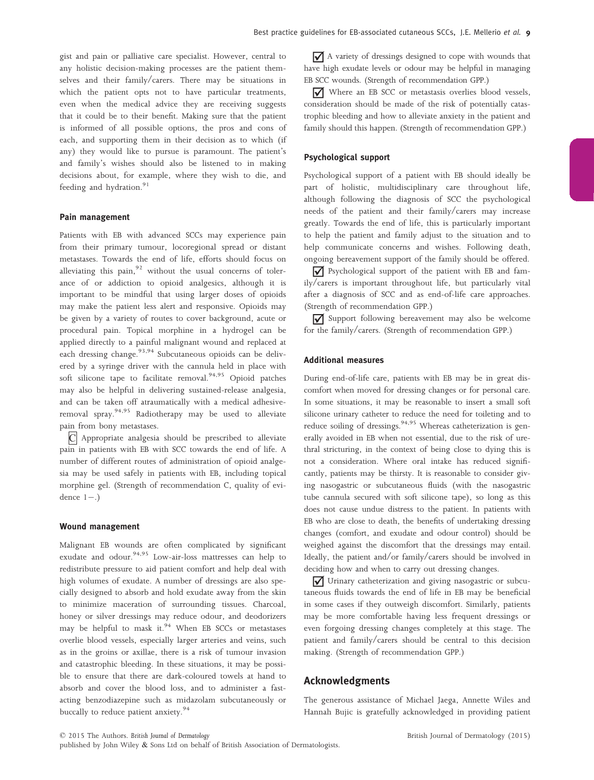gist and pain or palliative care specialist. However, central to any holistic decision-making processes are the patient themselves and their family/carers. There may be situations in which the patient opts not to have particular treatments, even when the medical advice they are receiving suggests that it could be to their benefit. Making sure that the patient is informed of all possible options, the pros and cons of each, and supporting them in their decision as to which (if any) they would like to pursue is paramount. The patient's and family's wishes should also be listened to in making decisions about, for example, where they wish to die, and feeding and hydration. $91$ 

#### Pain management

Patients with EB with advanced SCCs may experience pain from their primary tumour, locoregional spread or distant metastases. Towards the end of life, efforts should focus on alleviating this pain, $92$  without the usual concerns of tolerance of or addiction to opioid analgesics, although it is important to be mindful that using larger doses of opioids may make the patient less alert and responsive. Opioids may be given by a variety of routes to cover background, acute or procedural pain. Topical morphine in a hydrogel can be applied directly to a painful malignant wound and replaced at each dressing change.<sup>93,94</sup> Subcutaneous opioids can be delivered by a syringe driver with the cannula held in place with soft silicone tape to facilitate removal. $94,95$  Opioid patches may also be helpful in delivering sustained-release analgesia, and can be taken off atraumatically with a medical adhesiveremoval spray.<sup>94,95</sup> Radiotherapy may be used to alleviate pain from bony metastases.

C Appropriate analgesia should be prescribed to alleviate pain in patients with EB with SCC towards the end of life. A number of different routes of administration of opioid analgesia may be used safely in patients with EB, including topical morphine gel. (Strength of recommendation C, quality of evidence  $1 - .$ )

#### Wound management

Malignant EB wounds are often complicated by significant exudate and odour.<sup>94,95</sup> Low-air-loss mattresses can help to redistribute pressure to aid patient comfort and help deal with high volumes of exudate. A number of dressings are also specially designed to absorb and hold exudate away from the skin to minimize maceration of surrounding tissues. Charcoal, honey or silver dressings may reduce odour, and deodorizers may be helpful to mask it.<sup>94</sup> When EB SCCs or metastases overlie blood vessels, especially larger arteries and veins, such as in the groins or axillae, there is a risk of tumour invasion and catastrophic bleeding. In these situations, it may be possible to ensure that there are dark-coloured towels at hand to absorb and cover the blood loss, and to administer a fastacting benzodiazepine such as midazolam subcutaneously or buccally to reduce patient anxiety.<sup>94</sup>

 $\mathbf{\nabla}$  A variety of dressings designed to cope with wounds that have high exudate levels or odour may be helpful in managing EB SCC wounds. (Strength of recommendation GPP.)

Where an EB SCC or metastasis overlies blood vessels, consideration should be made of the risk of potentially catastrophic bleeding and how to alleviate anxiety in the patient and family should this happen. (Strength of recommendation GPP.)

#### Psychological support

Psychological support of a patient with EB should ideally be part of holistic, multidisciplinary care throughout life, although following the diagnosis of SCC the psychological needs of the patient and their family/carers may increase greatly. Towards the end of life, this is particularly important to help the patient and family adjust to the situation and to help communicate concerns and wishes. Following death, ongoing bereavement support of the family should be offered.

 $\mathbf{\nabla}$  Psychological support of the patient with EB and family/carers is important throughout life, but particularly vital after a diagnosis of SCC and as end-of-life care approaches. (Strength of recommendation GPP.)

 $\overline{\mathbf{V}}$  Support following bereavement may also be welcome for the family/carers. (Strength of recommendation GPP.)

## Additional measures

During end-of-life care, patients with EB may be in great discomfort when moved for dressing changes or for personal care. In some situations, it may be reasonable to insert a small soft silicone urinary catheter to reduce the need for toileting and to reduce soiling of dressings.<sup>94,95</sup> Whereas catheterization is generally avoided in EB when not essential, due to the risk of urethral stricturing, in the context of being close to dying this is not a consideration. Where oral intake has reduced significantly, patients may be thirsty. It is reasonable to consider giving nasogastric or subcutaneous fluids (with the nasogastric tube cannula secured with soft silicone tape), so long as this does not cause undue distress to the patient. In patients with EB who are close to death, the benefits of undertaking dressing changes (comfort, and exudate and odour control) should be weighed against the discomfort that the dressings may entail. Ideally, the patient and/or family/carers should be involved in deciding how and when to carry out dressing changes.

 $\sqrt{\phantom{a}}$  Urinary catheterization and giving nasogastric or subcutaneous fluids towards the end of life in EB may be beneficial in some cases if they outweigh discomfort. Similarly, patients may be more comfortable having less frequent dressings or even forgoing dressing changes completely at this stage. The patient and family/carers should be central to this decision making. (Strength of recommendation GPP.)

## Acknowledgments

The generous assistance of Michael Jaega, Annette Wiles and Hannah Bujic is gratefully acknowledged in providing patient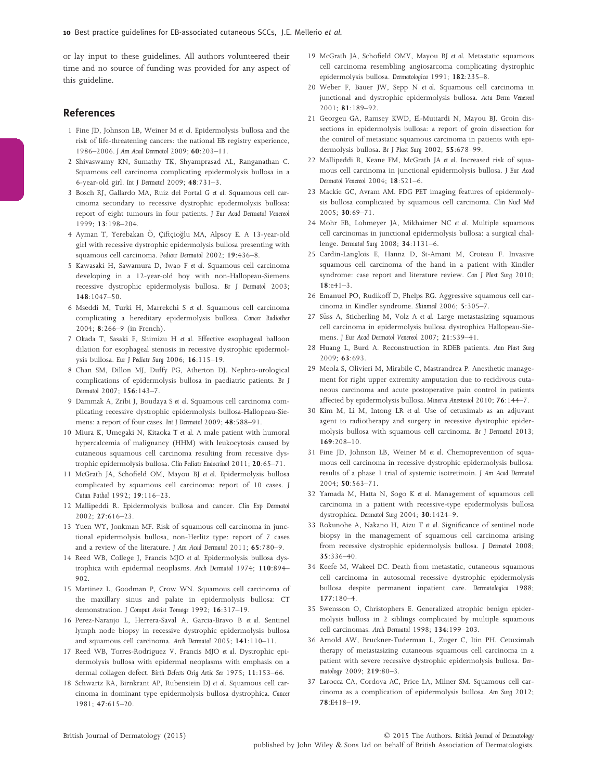or lay input to these guidelines. All authors volunteered their time and no source of funding was provided for any aspect of this guideline.

## References

- 1 Fine JD, Johnson LB, Weiner M et al. Epidermolysis bullosa and the risk of life-threatening cancers: the national EB registry experience, 1986–2006. J Am Acad Dermatol 2009; 60:203–11.
- 2 Shivaswamy KN, Sumathy TK, Shyamprasad AL, Ranganathan C. Squamous cell carcinoma complicating epidermolysis bullosa in a 6-year-old girl. Int J Dermatol 2009; 48:731–3.
- 3 Bosch RJ, Gallardo MA, Ruiz del Portal G et al. Squamous cell carcinoma secondary to recessive dystrophic epidermolysis bullosa: report of eight tumours in four patients. J Eur Acad Dermatol Venereol 1999; 13:198–204.
- 4 Ayman T, Yerebakan Ö, Çiftçioğlu MA, Alpsoy E. A 13-year-old girl with recessive dystrophic epidermolysis bullosa presenting with squamous cell carcinoma. Pediatr Dermatol 2002; 19:436–8.
- 5 Kawasaki H, Sawamura D, Iwao F et al. Squamous cell carcinoma developing in a 12-year-old boy with non-Hallopeau-Siemens recessive dystrophic epidermolysis bullosa. Br J Dermatol 2003; 148:1047–50.
- 6 Mseddi M, Turki H, Marrekchi S et al. Squamous cell carcinoma complicating a hereditary epidermolysis bullosa. Cancer Radiother 2004; 8:266–9 (in French).
- 7 Okada T, Sasaki F, Shimizu H et al. Effective esophageal balloon dilation for esophageal stenosis in recessive dystrophic epidermolysis bullosa. Eur J Pediatr Surg 2006; 16:115–19.
- 8 Chan SM, Dillon MJ, Duffy PG, Atherton DJ. Nephro-urological complications of epidermolysis bullosa in paediatric patients. Br J Dermatol 2007; 156:143–7.
- 9 Dammak A, Zribi J, Boudaya S et al. Squamous cell carcinoma complicating recessive dystrophic epidermolysis bullosa-Hallopeau-Siemens: a report of four cases. Int J Dermatol 2009; 48:588–91.
- 10 Miura K, Umegaki N, Kitaoka T et al. A male patient with humoral hypercalcemia of malignancy (HHM) with leukocytosis caused by cutaneous squamous cell carcinoma resulting from recessive dystrophic epidermolysis bullosa. Clin Pediatr Endocrinol 2011; 20:65–71.
- 11 McGrath JA, Schofield OM, Mayou BJ et al. Epidermolysis bullosa complicated by squamous cell carcinoma: report of 10 cases. J Cutan Pathol 1992; 19:116–23.
- 12 Mallipeddi R. Epidermolysis bullosa and cancer. Clin Exp Dermatol 2002; 27:616–23.
- 13 Yuen WY, Jonkman MF. Risk of squamous cell carcinoma in junctional epidermolysis bullosa, non-Herlitz type: report of 7 cases and a review of the literature. J Am Acad Dermatol 2011; 65:780–9.
- 14 Reed WB, College J, Francis MJO et al. Epidermolysis bullosa dystrophica with epidermal neoplasms. Arch Dermatol 1974; 110:894– 902.
- 15 Martinez L, Goodman P, Crow WN. Squamous cell carcinoma of the maxillary sinus and palate in epidermolysis bullosa: CT demonstration. J Comput Assist Tomogr 1992; 16:317-19.
- 16 Perez-Naranjo L, Herrera-Saval A, Garcia-Bravo B et al. Sentinel lymph node biopsy in recessive dystrophic epidermolysis bullosa and squamous cell carcinoma. Arch Dermatol 2005; 141:110–11.
- 17 Reed WB, Torres-Rodriguez V, Francis MJO et al. Dystrophic epidermolysis bullosa with epidermal neoplasms with emphasis on a dermal collagen defect. Birth Defects Orig Artic Ser 1975; 11:153–66.
- 18 Schwartz RA, Birnkrant AP, Rubenstein DJ et al. Squamous cell carcinoma in dominant type epidermolysis bullosa dystrophica. Cancer 1981; 47:615–20.
- 19 McGrath JA, Schofield OMV, Mayou BJ et al. Metastatic squamous cell carcinoma resembling angiosarcoma complicating dystrophic epidermolysis bullosa. Dermatologica 1991; 182:235–8.
- 20 Weber F, Bauer JW, Sepp N et al. Squamous cell carcinoma in junctional and dystrophic epidermolysis bullosa. Acta Derm Venereol 2001; 81:189–92.
- 21 Georgeu GA, Ramsey KWD, El-Muttardi N, Mayou BJ. Groin dissections in epidermolysis bullosa: a report of groin dissection for the control of metastatic squamous carcinoma in patients with epidermolysis bullosa. Br J Plast Surg 2002; 55:678–99.
- 22 Mallipeddi R, Keane FM, McGrath JA et al. Increased risk of squamous cell carcinoma in junctional epidermolysis bullosa. J Eur Acad Dermatol Venereol 2004; 18:521–6.
- 23 Mackie GC, Avram AM. FDG PET imaging features of epidermolysis bullosa complicated by squamous cell carcinoma. Clin Nucl Med 2005; 30:69–71.
- 24 Mohr EB, Lohmeyer JA, Mikhaimer NC et al. Multiple squamous cell carcinomas in junctional epidermolysis bullosa: a surgical challenge. Dermatol Surg 2008; 34:1131–6.
- 25 Cardin-Langlois E, Hanna D, St-Amant M, Croteau F. Invasive squamous cell carcinoma of the hand in a patient with Kindler syndrome: case report and literature review. Can J Plast Surg 2010; 18:e41–3.
- 26 Emanuel PO, Rudikoff D, Phelps RG. Aggressive squamous cell carcinoma in Kindler syndrome. Skinmed 2006; 5:305–7.
- 27 Süss A, Sticherling M, Volz A et al. Large metastasizing squamous cell carcinoma in epidermolysis bullosa dystrophica Hallopeau-Siemens. J Eur Acad Dermatol Venereol 2007; 21:539–41.
- 28 Huang L, Burd A. Reconstruction in RDEB patients. Ann Plast Surg 2009; 63:693.
- 29 Meola S, Olivieri M, Mirabile C, Mastrandrea P. Anesthetic management for right upper extremity amputation due to recidivous cutaneous carcinoma and acute postoperative pain control in patients affected by epidermolysis bullosa. Minerva Anestesiol 2010; 76:144–7.
- 30 Kim M, Li M, Intong LR et al. Use of cetuximab as an adjuvant agent to radiotherapy and surgery in recessive dystrophic epidermolysis bullosa with squamous cell carcinoma. Br J Dermatol 2013; 169:208–10.
- 31 Fine JD, Johnson LB, Weiner M et al. Chemoprevention of squamous cell carcinoma in recessive dystrophic epidermolysis bullosa: results of a phase 1 trial of systemic isotretinoin. J Am Acad Dermatol 2004; 50:563–71.
- 32 Yamada M, Hatta N, Sogo K et al. Management of squamous cell carcinoma in a patient with recessive-type epidermolysis bullosa dystrophica. Dermatol Surg 2004; 30:1424–9.
- 33 Rokunohe A, Nakano H, Aizu T et al. Significance of sentinel node biopsy in the management of squamous cell carcinoma arising from recessive dystrophic epidermolysis bullosa. J Dermatol 2008; 35:336–40.
- 34 Keefe M, Wakeel DC. Death from metastatic, cutaneous squamous cell carcinoma in autosomal recessive dystrophic epidermolysis bullosa despite permanent inpatient care. Dermatologica 1988; 177:180–4.
- 35 Swensson O, Christophers E. Generalized atrophic benign epidermolysis bullosa in 2 siblings complicated by multiple squamous cell carcinomas. Arch Dermatol 1998; 134:199–203.
- 36 Arnold AW, Bruckner-Tuderman L, Zuger C, Itin PH. Cetuximab therapy of metastasizing cutaneous squamous cell carcinoma in a patient with severe recessive dystrophic epidermolysis bullosa. Dermatology 2009; 219:80–3.
- 37 Larocca CA, Cordova AC, Price LA, Milner SM. Squamous cell carcinoma as a complication of epidermolysis bullosa. Am Surg 2012; 78:E418–19.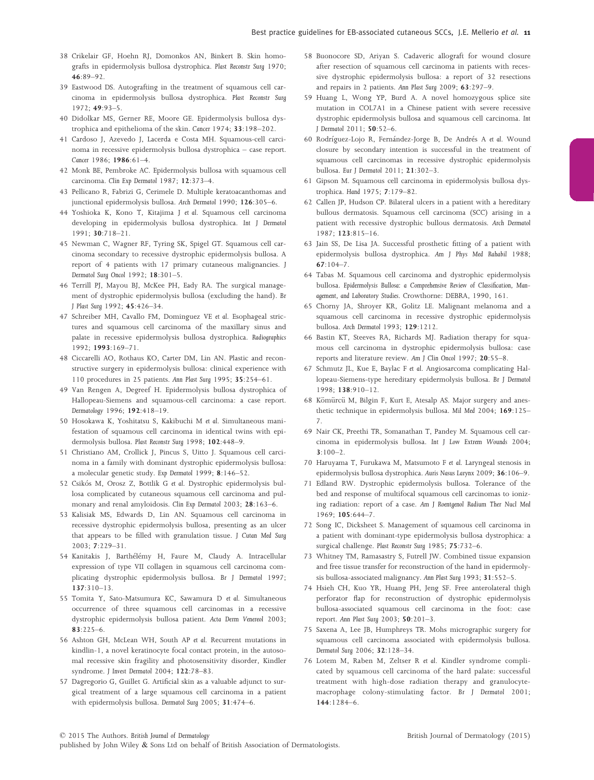- 38 Crikelair GF, Hoehn RJ, Domonkos AN, Binkert B. Skin homografts in epidermolysis bullosa dystrophica. Plast Reconstr Surg 1970; 46:89–92.
- 39 Eastwood DS. Autografting in the treatment of squamous cell carcinoma in epidermolysis bullosa dystrophica. Plast Reconstr Surg 1972; 49:93–5.
- 40 Didolkar MS, Gerner RE, Moore GE. Epidermolysis bullosa dystrophica and epithelioma of the skin. Cancer 1974; 33:198–202.
- 41 Cardoso J, Azevedo J, Lacerda e Costa MH. Squamous-cell carcinoma in recessive epidermolysis bullosa dystrophica – case report. Cancer 1986; 1986:61-4.
- 42 Monk BE, Pembroke AC. Epidermolysis bullosa with squamous cell carcinoma. Clin Exp Dermatol 1987; 12:373–4.
- 43 Pellicano R, Fabrizi G, Cerimele D. Multiple keratoacanthomas and junctional epidermolysis bullosa. Arch Dermatol 1990; 126:305–6.
- 44 Yoshioka K, Kono T, Kitajima J et al. Squamous cell carcinoma developing in epidermolysis bullosa dystrophica. Int J Dermatol 1991; 30:718–21.
- 45 Newman C, Wagner RF, Tyring SK, Spigel GT. Squamous cell carcinoma secondary to recessive dystrophic epidermolysis bullosa. A report of 4 patients with 17 primary cutaneous malignancies. J Dermatol Surg Oncol 1992; 18:301–5.
- 46 Terrill PJ, Mayou BJ, McKee PH, Eady RA. The surgical management of dystrophic epidermolysis bullosa (excluding the hand). Br J Plast Surg 1992; 45:426–34.
- 47 Schreiber MH, Cavallo FM, Dominguez VE et al. Esophageal strictures and squamous cell carcinoma of the maxillary sinus and palate in recessive epidermolysis bullosa dystrophica. Radiographics 1992; 1993:169–71.
- 48 Ciccarelli AO, Rothaus KO, Carter DM, Lin AN. Plastic and reconstructive surgery in epidermolysis bullosa: clinical experience with 110 procedures in 25 patients. Ann Plast Surg 1995; 35:254–61.
- 49 Van Rengen A, Degreef H. Epidermolysis bullosa dystrophica of Hallopeau-Siemens and squamous-cell carcinoma: a case report. Dermatology 1996; 192:418–19.
- 50 Hosokawa K, Yoshitatsu S, Kakibuchi M et al. Simultaneous manifestation of squamous cell carcinoma in identical twins with epidermolysis bullosa. Plast Reconstr Surg 1998; 102:448-9.
- 51 Christiano AM, Crollick J, Pincus S, Uitto J. Squamous cell carcinoma in a family with dominant dystrophic epidermolysis bullosa: a molecular genetic study. Exp Dermatol 1999; 8:146–52.
- 52 Csikós M, Orosz Z, Bottlik G et al. Dystrophic epidermolysis bullosa complicated by cutaneous squamous cell carcinoma and pulmonary and renal amyloidosis. Clin Exp Dermatol 2003; 28:163–6.
- 53 Kalisiak MS, Edwards D, Lin AN. Squamous cell carcinoma in recessive dystrophic epidermolysis bullosa, presenting as an ulcer that appears to be filled with granulation tissue. J Cutan Med Surg 2003; 7:229–31.
- 54 Kanitakis J, Barthélémy H, Faure M, Claudy A. Intracellular expression of type VII collagen in squamous cell carcinoma complicating dystrophic epidermolysis bullosa. Br J Dermatol 1997; 137:310–13.
- 55 Tomita Y, Sato-Matsumura KC, Sawamura D et al. Simultaneous occurrence of three squamous cell carcinomas in a recessive dystrophic epidermolysis bullosa patient. Acta Derm Venereol 2003; 83:225–6.
- 56 Ashton GH, McLean WH, South AP et al. Recurrent mutations in kindlin-1, a novel keratinocyte focal contact protein, in the autosomal recessive skin fragility and photosensitivity disorder, Kindler syndrome. J Invest Dermatol 2004; 122:78-83.
- 57 Dagregorio G, Guillet G. Artificial skin as a valuable adjunct to surgical treatment of a large squamous cell carcinoma in a patient with epidermolysis bullosa. Dermatol Surg 2005; 31:474–6.
- 58 Buonocore SD, Ariyan S. Cadaveric allograft for wound closure after resection of squamous cell carcinoma in patients with recessive dystrophic epidermolysis bullosa: a report of 32 resections and repairs in 2 patients. Ann Plast Surg 2009; 63:297–9.
- 59 Huang L, Wong YP, Burd A. A novel homozygous splice site mutation in COL7A1 in a Chinese patient with severe recessive dystrophic epidermolysis bullosa and squamous cell carcinoma. Int J Dermatol 2011; 50:52–6.
- 60 Rodríguez-Lojo R, Fernández-Jorge B, De Andrés A et al. Wound closure by secondary intention is successful in the treatment of squamous cell carcinomas in recessive dystrophic epidermolysis bullosa. Eur J Dermatol 2011; 21:302–3.
- 61 Gipson M. Squamous cell carcinoma in epidermolysis bullosa dystrophica. Hand 1975; 7:179–82.
- 62 Callen JP, Hudson CP. Bilateral ulcers in a patient with a hereditary bullous dermatosis. Squamous cell carcinoma (SCC) arising in a patient with recessive dystrophic bullous dermatosis. Arch Dermatol 1987; 123:815–16.
- 63 Jain SS, De Lisa JA. Successful prosthetic fitting of a patient with epidermolysis bullosa dystrophica. Am J Phys Med Rahabil 1988;  $67:104 - 7$ .
- 64 Tabas M. Squamous cell carcinoma and dystrophic epidermolysis bullosa. Epidermolysis Bullosa: a Comprehensive Review of Classification, Management, and Laboratory Studies. Crowthorne: DEBRA, 1990, 161.
- 65 Chorny JA, Shroyer KR, Golitz LE. Malignant melanoma and a squamous cell carcinoma in recessive dystrophic epidermolysis bullosa. Arch Dermatol 1993; 129:1212.
- 66 Bastin KT, Steeves RA, Richards MJ. Radiation therapy for squamous cell carcinoma in dystrophic epidermolysis bullosa: case reports and literature review. Am J Clin Oncol 1997; 20:55–8.
- 67 Schmutz JL, Kue E, Baylac F et al. Angiosarcoma complicating Hallopeau-Siemens-type hereditary epidermolysis bullosa. Br J Dermatol 1998; 138:910–12.
- 68 Kömürcü M, Bilgin F, Kurt E, Atesalp AS. Major surgery and anesthetic technique in epidermolysis bullosa. Mil Med 2004; 169:125– 7.
- 69 Nair CK, Preethi TR, Somanathan T, Pandey M. Squamous cell carcinoma in epidermolysis bullosa. Int J Low Extrem Wounds 2004;  $3:100-2$ .
- 70 Haruyama T, Furukawa M, Matsumoto F et al. Laryngeal stenosis in epidermolysis bullosa dystrophica. Auris Nasus Larynx 2009; 36:106–9.
- 71 Edland RW. Dystrophic epidermolysis bullosa. Tolerance of the bed and response of multifocal squamous cell carcinomas to ionizing radiation: report of a case. Am J Roentgenol Radium Ther Nucl Med 1969; 105:644–7.
- 72 Song IC, Dicksheet S. Management of squamous cell carcinoma in a patient with dominant-type epidermolysis bullosa dystrophica: a surgical challenge. Plast Reconstr Surg 1985; 75:732–6.
- 73 Whitney TM, Ramasastry S, Futrell JW. Combined tissue expansion and free tissue transfer for reconstruction of the hand in epidermolysis bullosa-associated malignancy. Ann Plast Surg 1993; 31:552–5.
- 74 Hsieh CH, Kuo YR, Huang PH, Jeng SF. Free anterolateral thigh perforator flap for reconstruction of dystrophic epidermolysis bullosa-associated squamous cell carcinoma in the foot: case report. Ann Plast Surg 2003; 50:201–3.
- 75 Saxena A, Lee JB, Humphreys TR. Mohs micrographic surgery for squamous cell carcinoma associated with epidermolysis bullosa. Dermatol Surg 2006; 32:128–34.
- 76 Lotem M, Raben M, Zeltser R et al. Kindler syndrome complicated by squamous cell carcinoma of the hard palate: successful treatment with high-dose radiation therapy and granulocytemacrophage colony-stimulating factor. Br J Dermatol 2001; 144:1284–6.